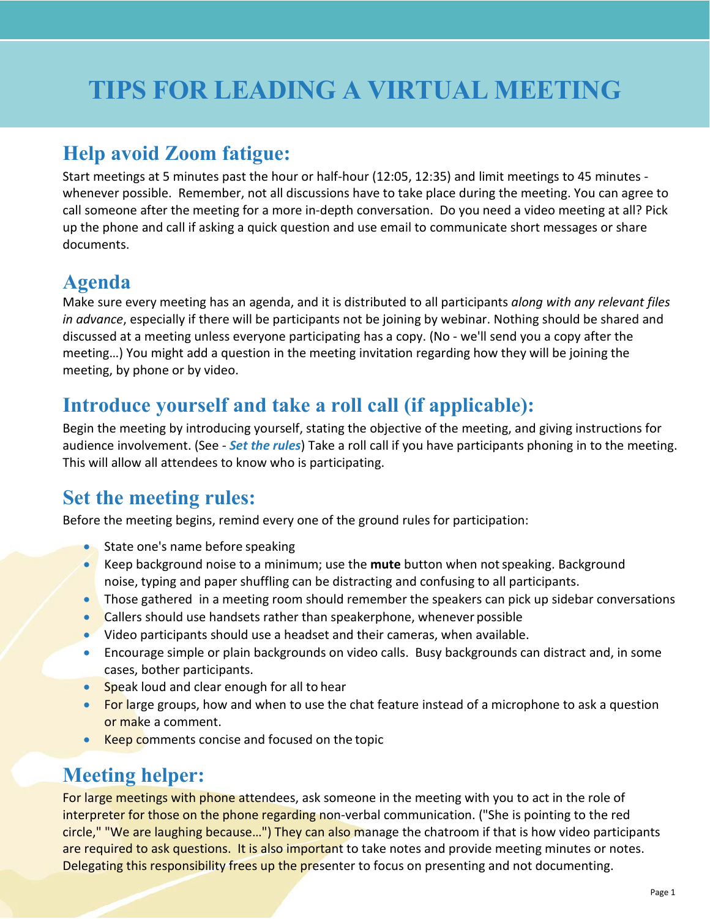# **TIPS FOR LEADING A VIRTUAL MEETING**

## **Help avoid Zoom fatigue:**

Start meetings at 5 minutes past the hour or half-hour (12:05, 12:35) and limit meetings to 45 minutes whenever possible. Remember, not all discussions have to take place during the meeting. You can agree to call someone after the meeting for a more in-depth conversation. Do you need a video meeting at all? Pick up the phone and call if asking a quick question and use email to communicate short messages or share documents.

## **Agenda**

Make sure every meeting has an agenda, and it is distributed to all participants *along with any relevant files in advance*, especially if there will be participants not be joining by webinar. Nothing should be shared and discussed at a meeting unless everyone participating has a copy. (No - we'll send you a copy after the meeting…) You might add a question in the meeting invitation regarding how they will be joining the meeting, by phone or by video.

## **Introduce yourself and take a roll call (if applicable):**

Begin the meeting by introducing yourself, stating the objective of the meeting, and giving instructions for audience involvement. (See - *Set the rules*) Take a roll call if you have participants phoning in to the meeting. This will allow all attendees to know who is participating.

# **Set the meeting rules:**

Before the meeting begins, remind every one of the ground rules for participation:

- State one's name before speaking
- Keep background noise to a minimum; use the **mute** button when notspeaking. Background noise, typing and paper shuffling can be distracting and confusing to all participants.
- Those gathered in a meeting room should remember the speakers can pick up sidebar conversations
- Callers should use handsets rather than speakerphone, whenever possible
- Video participants should use a headset and their cameras, when available.
- Encourage simple or plain backgrounds on video calls. Busy backgrounds can distract and, in some cases, bother participants.
- Speak loud and clear enough for all to hear
- For large groups, how and when to use the chat feature instead of a microphone to ask a question or make a comment.
- Keep comments concise and focused on the topic

# **Meeting helper:**

For large meetings with phone attendees, ask someone in the meeting with you to act in the role of interpreter for those on the phone regarding non-verbal communication. ("She is pointing to the red circle," "We are laughing because…") They can also manage the chatroom if that is how video participants are required to ask questions. It is also important to take notes and provide meeting minutes or notes. Delegating this responsibility frees up the presenter to focus on presenting and not documenting.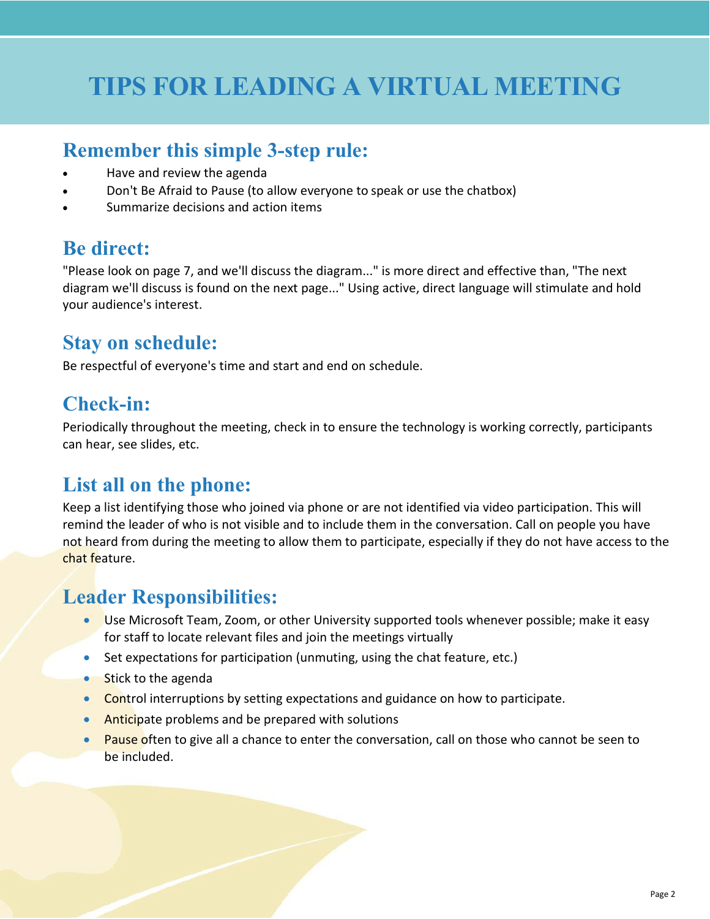# **TIPS FOR LEADING A VIRTUAL MEETING**

#### **Remember this simple 3-step rule:**

- Have and review the agenda
- Don't Be Afraid to Pause (to allow everyone to speak or use the chatbox)
- Summarize decisions and action items

### **Be direct:**

"Please look on page 7, and we'll discuss the diagram..." is more direct and effective than, "The next diagram we'll discuss is found on the next page..." Using active, direct language will stimulate and hold your audience's interest.

#### **Stay on schedule:**

Be respectful of everyone's time and start and end on schedule.

### **Check-in:**

Periodically throughout the meeting, check in to ensure the technology is working correctly, participants can hear, see slides, etc.

### **List all on the phone:**

Keep a list identifying those who joined via phone or are not identified via video participation. This will remind the leader of who is not visible and to include them in the conversation. Call on people you have not heard from during the meeting to allow them to participate, especially if they do not have access to the chat feature.

### **Leader Responsibilities:**

- Use Microsoft Team, Zoom, or other University supported tools whenever possible; make it easy for staff to locate relevant files and join the meetings virtually
- Set expectations for participation (unmuting, using the chat feature, etc.)
- Stick to the agenda
- Control interruptions by setting expectations and guidance on how to participate.
- Anticipate problems and be prepared with solutions
- Pause often to give all a chance to enter the conversation, call on those who cannot be seen to be included.